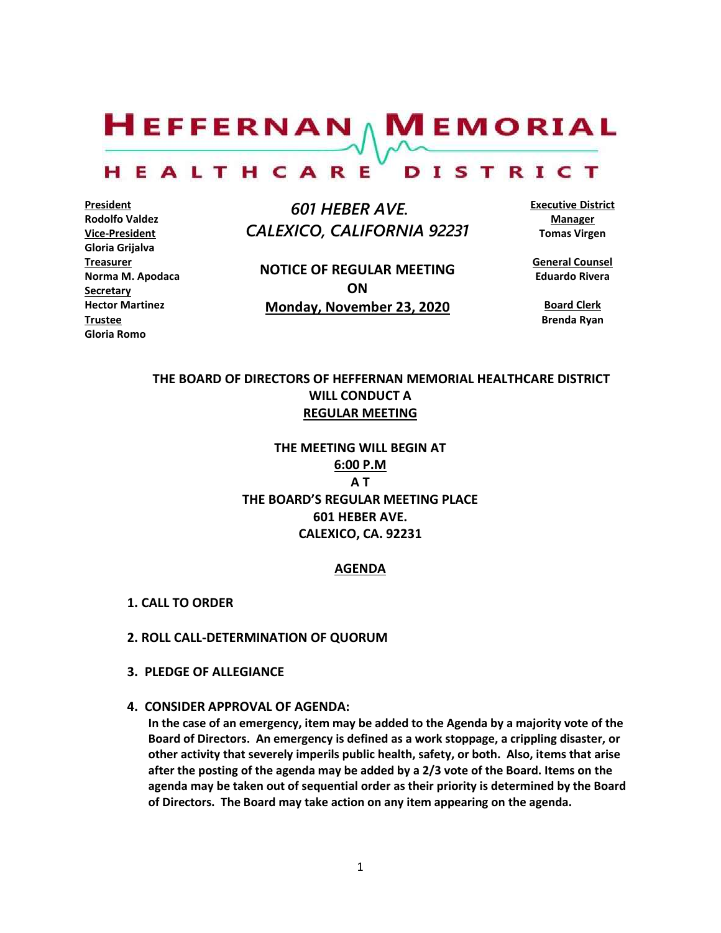$H$ EFFERNAN  $\wedge$  M EMORIAL

#### HEALTHCARE DISTRICT

**President Rodolfo Valdez Vice-President Gloria Grijalva Treasurer Norma M. Apodaca Secretary Hector Martinez Trustee Gloria Romo**

 *601 HEBER AVE. CALEXICO, CALIFORNIA 92231*

**NOTICE OF REGULAR MEETING ON Monday, November 23, 2020**

**Executive District Manager Tomas Virgen**

**General Counsel Eduardo Rivera**

**Board Clerk Brenda Ryan**

# **THE BOARD OF DIRECTORS OF HEFFERNAN MEMORIAL HEALTHCARE DISTRICT WILL CONDUCT A REGULAR MEETING**

**THE MEETING WILL BEGIN AT 6:00 P.M A T THE BOARD'S REGULAR MEETING PLACE 601 HEBER AVE. CALEXICO, CA. 92231**

#### **AGENDA**

- **1. CALL TO ORDER**
- **2. ROLL CALL-DETERMINATION OF QUORUM**
- **3. PLEDGE OF ALLEGIANCE**
- **4. CONSIDER APPROVAL OF AGENDA:**

**In the case of an emergency, item may be added to the Agenda by a majority vote of the Board of Directors. An emergency is defined as a work stoppage, a crippling disaster, or other activity that severely imperils public health, safety, or both. Also, items that arise after the posting of the agenda may be added by a 2/3 vote of the Board. Items on the agenda may be taken out of sequential order as their priority is determined by the Board of Directors. The Board may take action on any item appearing on the agenda.**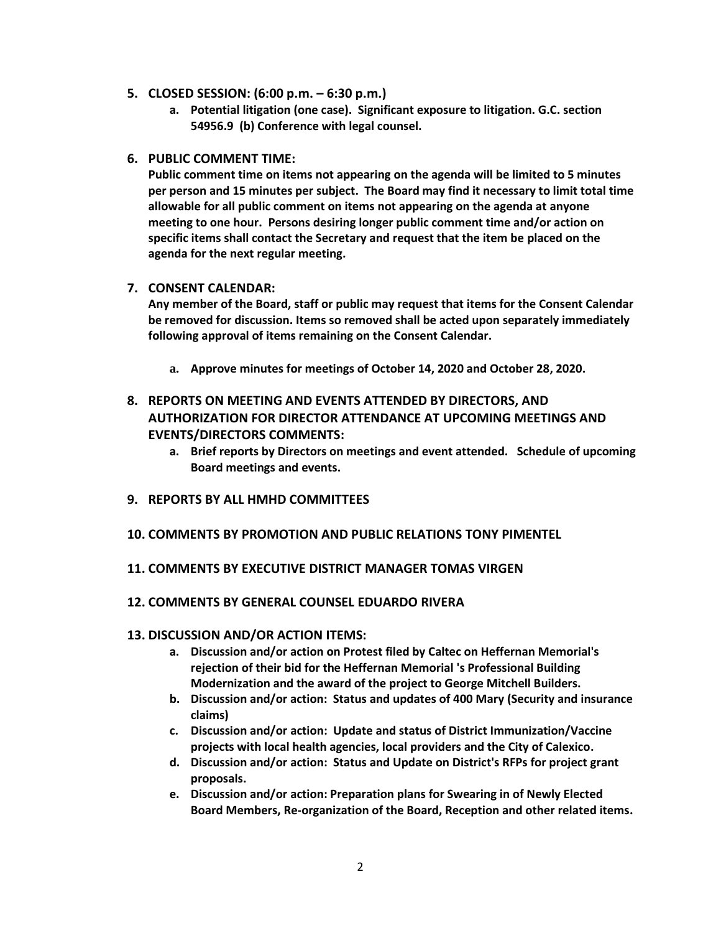- **5. CLOSED SESSION: (6:00 p.m. – 6:30 p.m.)**
	- **a. Potential litigation (one case). Significant exposure to litigation. G.C. section 54956.9 (b) Conference with legal counsel.**
- **6. PUBLIC COMMENT TIME:**

**Public comment time on items not appearing on the agenda will be limited to 5 minutes per person and 15 minutes per subject. The Board may find it necessary to limit total time allowable for all public comment on items not appearing on the agenda at anyone meeting to one hour. Persons desiring longer public comment time and/or action on specific items shall contact the Secretary and request that the item be placed on the agenda for the next regular meeting.**

# **7. CONSENT CALENDAR:**

**Any member of the Board, staff or public may request that items for the Consent Calendar be removed for discussion. Items so removed shall be acted upon separately immediately following approval of items remaining on the Consent Calendar.**

**a. Approve minutes for meetings of October 14, 2020 and October 28, 2020.**

# **8. REPORTS ON MEETING AND EVENTS ATTENDED BY DIRECTORS, AND AUTHORIZATION FOR DIRECTOR ATTENDANCE AT UPCOMING MEETINGS AND EVENTS/DIRECTORS COMMENTS:**

- **a. Brief reports by Directors on meetings and event attended. Schedule of upcoming Board meetings and events.**
- **9. REPORTS BY ALL HMHD COMMITTEES**
- **10. COMMENTS BY PROMOTION AND PUBLIC RELATIONS TONY PIMENTEL**

### **11. COMMENTS BY EXECUTIVE DISTRICT MANAGER TOMAS VIRGEN**

**12. COMMENTS BY GENERAL COUNSEL EDUARDO RIVERA**

### **13. DISCUSSION AND/OR ACTION ITEMS:**

- **a. Discussion and/or action on Protest filed by Caltec on Heffernan Memorial's rejection of their bid for the Heffernan Memorial 's Professional Building Modernization and the award of the project to George Mitchell Builders.**
- **b. Discussion and/or action: Status and updates of 400 Mary (Security and insurance claims)**
- **c. Discussion and/or action: Update and status of District Immunization/Vaccine projects with local health agencies, local providers and the City of Calexico.**
- **d. Discussion and/or action: Status and Update on District's RFPs for project grant proposals.**
- **e. Discussion and/or action: Preparation plans for Swearing in of Newly Elected Board Members, Re-organization of the Board, Reception and other related items.**